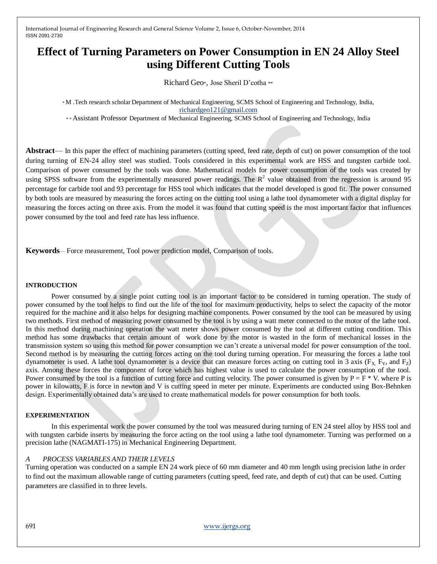# **Effect of Turning Parameters on Power Consumption in EN 24 Alloy Steel using Different Cutting Tools**

Richard Geo\*, Jose Sheril D'cotha \*\*

\* M .Tech research scholar Department of Mechanical Engineering, SCMS School of Engineering and Technology, India, [richardgeo121@gmail.com](mailto:richardgeo121@gmail.com)

\*\* Assistant Professor Department of Mechanical Engineering, SCMS School of Engineering and Technology, India

**Abstract**— In this paper the effect of machining parameters (cutting speed, feed rate, depth of cut) on power consumption of the tool during turning of EN-24 alloy steel was studied. Tools considered in this experimental work are HSS and tungsten carbide tool. Comparison of power consumed by the tools was done. Mathematical models for power consumption of the tools was created by using SPSS software from the experimentally measured power readings. The  $R^2$  value obtained from the regression is around 95 percentage for carbide tool and 93 percentage for HSS tool which indicates that the model developed is good fit. The power consumed by both tools are measured by measuring the forces acting on the cutting tool using a lathe tool dynamometer with a digital display for measuring the forces acting on three axis. From the model it was found that cutting speed is the most important factor that influences power consumed by the tool and feed rate has less influence.

**Keywords**— Force measurement, Tool power prediction model, Comparison of tools.

#### **INTRODUCTION**

Power consumed by a single point cutting tool is an important factor to be considered in turning operation. The study of power consumed by the tool helps to find out the life of the tool for maximum productivity, helps to select the capacity of the motor required for the machine and it also helps for designing machine components. Power consumed by the tool can be measured by using two methods. First method of measuring power consumed by the tool is by using a watt meter connected to the motor of the lathe tool. In this method during machining operation the watt meter shows power consumed by the tool at different cutting condition. This method has some drawbacks that certain amount of work done by the motor is wasted in the form of mechanical losses in the transmission system so using this method for power consumption we can't create a universal model for power consumption of the tool. Second method is by measuring the cutting forces acting on the tool during turning operation. For measuring the forces a lathe tool dynamometer is used. A lathe tool dynamometer is a device that can measure forces acting on cutting tool in 3 axis ( $F_X$ ,  $F_Y$ , and  $F_Z$ ) axis. Among these forces the component of force which has highest value is used to calculate the power consumption of the tool. Power consumed by the tool is a function of cutting force and cutting velocity. The power consumed is given by  $P = F * V$ , where P is power in kilowatts, F is force in newton and V is cutting speed in meter per minute. Experiments are conducted using Box-Behnken design. Experimentally obtained data's are used to create mathematical models for power consumption for both tools.

#### **EXPERIMENTATION**

In this experimental work the power consumed by the tool was measured during turning of EN 24 steel alloy by HSS tool and with tungsten carbide inserts by measuring the force acting on the tool using a lathe tool dynamometer. Turning was performed on a precision lathe (NAGMATI-175) in Mechanical Engineering Department.

#### *A PROCESS VARIABLES AND THEIR LEVELS*

Turning operation was conducted on a sample EN 24 work piece of 60 mm diameter and 40 mm length using precision lathe in order to find out the maximum allowable range of cutting parameters (cutting speed, feed rate, and depth of cut) that can be used. Cutting parameters are classified in to three levels.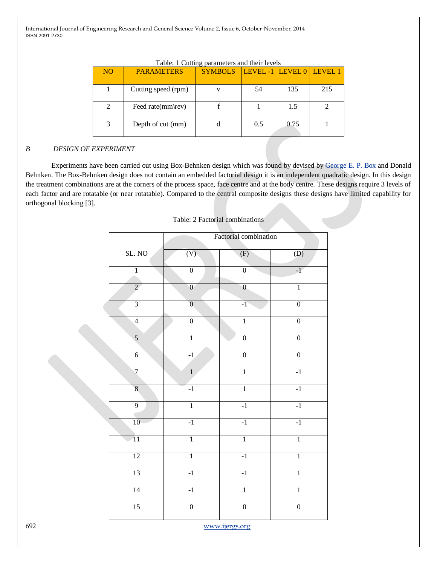| N <sub>O</sub> | <b>PARAMETERS</b>   | $\sim$ $\sim$<br><b>SYMBOLS</b> | LEVEL -1 LEVEL 0 LEVEL 1 |      |     |
|----------------|---------------------|---------------------------------|--------------------------|------|-----|
|                | Cutting speed (rpm) |                                 | 54                       | 135  | 215 |
|                | Feed rate(mm\rev)   |                                 |                          | 1.5  |     |
|                | Depth of cut (mm)   |                                 | 0.5                      | 0.75 |     |

Table: 1 Cutting parameters and their levels

## *B DESIGN OF EXPERIMENT*

Experiments have been carried out using Box-Behnken design which was found by devised by [George E. P. Box](http://en.wikipedia.org/wiki/George_E._P._Box) and Donald Behnken. The Box-Behnken design does not contain an embedded factorial design it is an independent quadratic design. In this design the treatment combinations are at the corners of the process space, face centre and at the body centre. These designs require 3 levels of each factor and are rotatable (or near rotatable). Compared to the central composite designs these designs have limited capability for orthogonal blocking [3].

|                         |                | Factorial combination |                  |
|-------------------------|----------------|-----------------------|------------------|
| SL. NO                  | (V)            | (F)                   | $\overline{(D)}$ |
| $\overline{1}$          | $\overline{0}$ | $\overline{0}$        | $-1$             |
| $\overline{2}$          | $\overline{0}$ | $\overline{0}$        | $\overline{1}$   |
| $\overline{3}$          | $\overline{0}$ | $-1$                  | $\overline{0}$   |
| $\overline{4}$          | $\overline{0}$ | $\overline{1}$        | $\overline{0}$   |
| $\overline{5}$          | $\overline{1}$ | $\overline{0}$        | $\overline{0}$   |
| $\overline{6}$          | $-1$           | $\overline{0}$        | $\overline{0}$   |
| $\overline{7}$          | $\overline{1}$ | $\overline{1}$        | $-1$             |
| $\overline{\mathbf{8}}$ | $-1$           | $\overline{1}$        | $-1$             |
| $\overline{9}$          | $\mathbf{1}$   | $-1$                  | $-1$             |
| 10                      | $-1$           | $-1$                  | $-1$             |
| $\overline{11}$         | $\overline{1}$ | $\overline{1}$        | $\overline{1}$   |
| $\overline{12}$         | $\overline{1}$ | $-1$                  | $\overline{1}$   |
| 13                      | $-1$           | $-1$                  | $\overline{1}$   |
| 14                      | $-1$           | $\overline{1}$        | $\overline{1}$   |
| $\overline{15}$         | $\overline{0}$ | $\overline{0}$        | $\overline{0}$   |

Table: 2 Factorial combinations

692 www.ijergs.org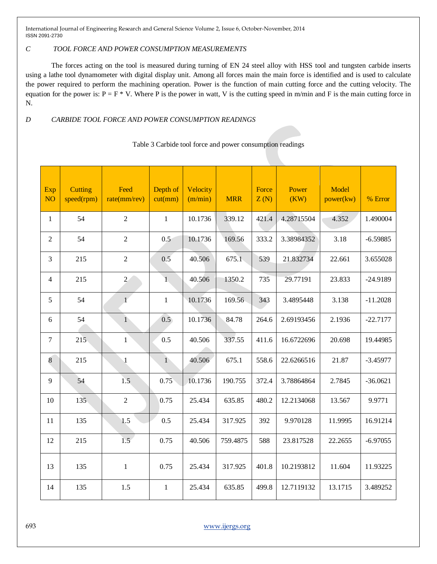## *C TOOL FORCE AND POWER CONSUMPTION MEASUREMENTS*

The forces acting on the tool is measured during turning of EN 24 steel alloy with HSS tool and tungsten carbide inserts using a lathe tool dynamometer with digital display unit. Among all forces main the main force is identified and is used to calculate the power required to perform the machining operation. Power is the function of main cutting force and the cutting velocity. The equation for the power is:  $P = F * V$ . Where P is the power in watt, V is the cutting speed in m/min and F is the main cutting force in N.

# *D CARBIDE TOOL FORCE AND POWER CONSUMPTION READINGS*

| Exp<br>N <sub>O</sub> | Cutting<br>speed(rpm) | Feed<br>rate(mm/rev) | Depth of<br>cut(mm) | Velocity<br>(m/min) | <b>MRR</b> | Force<br>Z(N) | Power<br>(KW) | Model<br>power(kw) | % Error    |
|-----------------------|-----------------------|----------------------|---------------------|---------------------|------------|---------------|---------------|--------------------|------------|
| $\mathbf{1}$          | 54                    | $\overline{2}$       | $\mathbf{1}$        | 10.1736             | 339.12     | 421.4         | 4.28715504    | 4.352              | 1.490004   |
| $\overline{2}$        | 54                    | $\overline{2}$       | 0.5                 | 10.1736             | 169.56     | 333.2         | 3.38984352    | 3.18               | $-6.59885$ |
| 3                     | 215                   | $\overline{c}$       | 0.5                 | 40.506              | 675.1      | 539           | 21.832734     | 22.661             | 3.655028   |
| $\overline{4}$        | 215                   | $\overline{2}$       | $\overline{1}$      | 40.506              | 1350.2     | 735           | 29.77191      | 23.833             | $-24.9189$ |
| 5                     | 54                    | $\overline{1}$       | $\mathbf{1}$        | 10.1736             | 169.56     | 343           | 3.4895448     | 3.138              | $-11.2028$ |
| 6                     | 54                    | 1                    | 0.5                 | 10.1736             | 84.78      | 264.6         | 2.69193456    | 2.1936             | $-22.7177$ |
| 7                     | 215                   | $\mathbf{1}$         | 0.5                 | 40.506              | 337.55     | 411.6         | 16.6722696    | 20.698             | 19.44985   |
| $\bf 8$               | 215                   | $\mathbf 1$          | $\mathbf{1}$        | 40.506              | 675.1      | 558.6         | 22.6266516    | 21.87              | $-3.45977$ |
| 9                     | 54                    | 1.5                  | 0.75                | 10.1736             | 190.755    | 372.4         | 3.78864864    | 2.7845             | $-36.0621$ |
| $10\,$                | 135                   | $\sqrt{2}$           | 0.75                | 25.434              | 635.85     | 480.2         | 12.2134068    | 13.567             | 9.9771     |
| 11                    | 135                   | 1.5                  | 0.5                 | 25.434              | 317.925    | 392           | 9.970128      | 11.9995            | 16.91214   |
| 12                    | 215                   | 1.5 <sub>1</sub>     | 0.75                | 40.506              | 759.4875   | 588           | 23.817528     | 22.2655            | $-6.97055$ |
| 13                    | 135                   | $\mathbf 1$          | 0.75                | 25.434              | 317.925    | 401.8         | 10.2193812    | 11.604             | 11.93225   |
| 14                    | 135                   | 1.5                  | $\mathbf{1}$        | 25.434              | 635.85     | 499.8         | 12.7119132    | 13.1715            | 3.489252   |

## Table 3 Carbide tool force and power consumption readings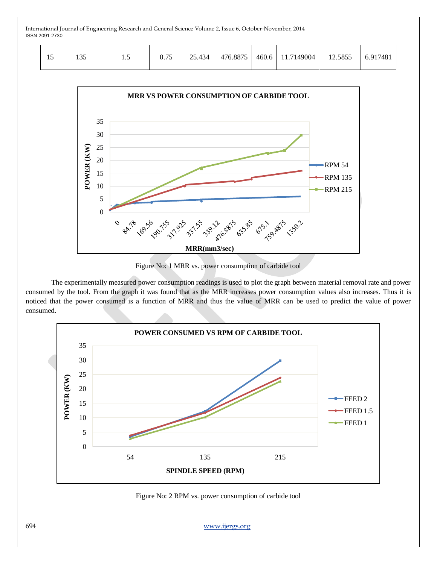|  | 25<br>133 | $\cdot$ $\cdot$ | $\Delta 34$<br>つく | 476.8875 | 460.6 | 11.7149004 | 12.5855 | 5.917481 |  |
|--|-----------|-----------------|-------------------|----------|-------|------------|---------|----------|--|
|  |           |                 |                   |          |       |            |         |          |  |



Figure No: 1 MRR vs. power consumption of carbide tool

The experimentally measured power consumption readings is used to plot the graph between material removal rate and power consumed by the tool. From the graph it was found that as the MRR increases power consumption values also increases. Thus it is noticed that the power consumed is a function of MRR and thus the value of MRR can be used to predict the value of power consumed.



Figure No: 2 RPM vs. power consumption of carbide tool

694 www.ijergs.org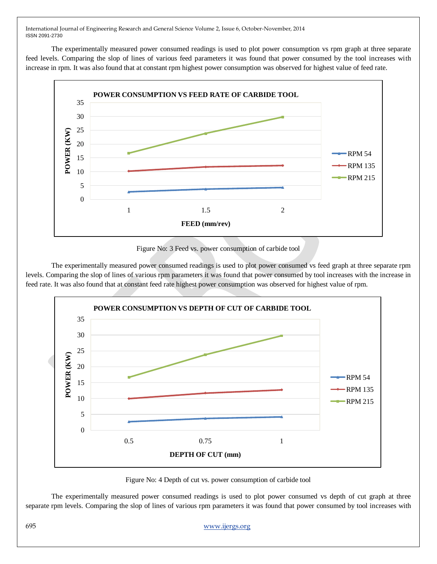The experimentally measured power consumed readings is used to plot power consumption vs rpm graph at three separate feed levels. Comparing the slop of lines of various feed parameters it was found that power consumed by the tool increases with increase in rpm. It was also found that at constant rpm highest power consumption was observed for highest value of feed rate.



Figure No: 3 Feed vs. power consumption of carbide tool

The experimentally measured power consumed readings is used to plot power consumed vs feed graph at three separate rpm levels. Comparing the slop of lines of various rpm parameters it was found that power consumed by tool increases with the increase in feed rate. It was also found that at constant feed rate highest power consumption was observed for highest value of rpm.



Figure No: 4 Depth of cut vs. power consumption of carbide tool

The experimentally measured power consumed readings is used to plot power consumed vs depth of cut graph at three separate rpm levels. Comparing the slop of lines of various rpm parameters it was found that power consumed by tool increases with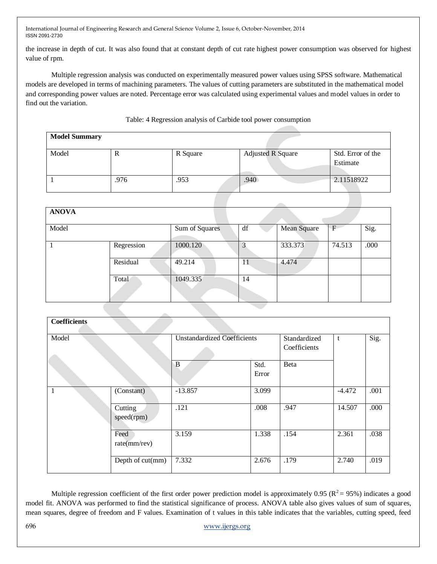the increase in depth of cut. It was also found that at constant depth of cut rate highest power consumption was observed for highest value of rpm.

Multiple regression analysis was conducted on experimentally measured power values using SPSS software. Mathematical models are developed in terms of machining parameters. The values of cutting parameters are substituted in the mathematical model and corresponding power values are noted. Percentage error was calculated using experimental values and model values in order to find out the variation.

## Table: 4 Regression analysis of Carbide tool power consumption

| <b>Model Summary</b> |      |          |                   |                               |
|----------------------|------|----------|-------------------|-------------------------------|
| Model                | ĸ    | R Square | Adjusted R Square | Std. Error of the<br>Estimate |
|                      | .976 | .953     | .940              | 2.11518922                    |

| <b>ANOVA</b> |            |                |    |             |        |      |
|--------------|------------|----------------|----|-------------|--------|------|
| Model        |            | Sum of Squares | df | Mean Square |        | Sig. |
|              | Regression | 1000.120       |    | 333.373     | 74.513 | .000 |
|              | Residual   | 49.214         | 11 | 4.474       |        |      |
|              | Total      | 1049.335       | 14 |             |        |      |

| <b>Coefficients</b> |                       |                                    |                              |      |          |      |
|---------------------|-----------------------|------------------------------------|------------------------------|------|----------|------|
| Model               |                       | <b>Unstandardized Coefficients</b> | Standardized<br>Coefficients | t    | Sig.     |      |
|                     |                       | $\mathbf{B}$                       | Std.<br>Error                | Beta |          |      |
|                     | (Constant)            | $-13.857$                          | 3.099                        |      | $-4.472$ | .001 |
|                     | Cutting<br>speed(rpm) | .121                               | .008                         | .947 | 14.507   | .000 |
|                     | Feed<br>rate(mm/rev)  | 3.159                              | 1.338                        | .154 | 2.361    | .038 |
|                     | Depth of cut(mm)      | 7.332                              | 2.676                        | .179 | 2.740    | .019 |

Multiple regression coefficient of the first order power prediction model is approximately 0.95 ( $R^2$  = 95%) indicates a good model fit. ANOVA was performed to find the statistical significance of process. ANOVA table also gives values of sum of squares, mean squares, degree of freedom and F values. Examination of t values in this table indicates that the variables, cutting speed, feed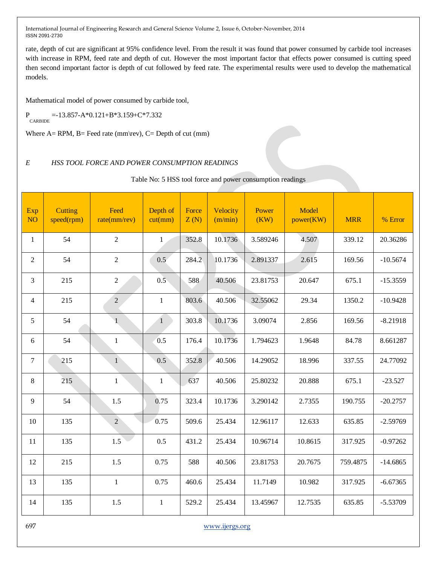rate, depth of cut are significant at 95% confidence level. From the result it was found that power consumed by carbide tool increases with increase in RPM, feed rate and depth of cut. However the most important factor that effects power consumed is cutting speed then second important factor is depth of cut followed by feed rate. The experimental results were used to develop the mathematical models.

Mathematical model of power consumed by carbide tool,

 $P_{CARBIDE} = -13.857-A*0.121+B*3.159+C*7.332$ 

Where  $A=$  RPM,  $B=$  Feed rate (mm\rev),  $C=$  Depth of cut (mm)

## *E HSS TOOL FORCE AND POWER CONSUMPTION READINGS*

Table No: 5 HSS tool force and power consumption readings

| Exp<br><b>NO</b> | Cutting<br>speed(rpm) | Feed<br>rate(mm/rev) | Depth of<br>cut(mm) | Force<br>Z(N) | Velocity<br>(m/min) | Power<br>(KW) | Model<br>power(KW) | <b>MRR</b> | % Error    |
|------------------|-----------------------|----------------------|---------------------|---------------|---------------------|---------------|--------------------|------------|------------|
| $\mathbf{1}$     | 54                    | $\overline{2}$       | $\mathbf{1}$        | 352.8         | 10.1736             | 3.589246      | 4.507              | 339.12     |            |
| $\mathfrak{2}$   | 54                    | $\overline{2}$       | 0.5                 | 284.2         | 10.1736             | 2.891337      | 2.615              | 169.56     | $-10.5674$ |
| 3                | 215                   | $\sqrt{2}$           | 0.5                 | 588           | 40.506              | 23.81753      | 20.647             | 675.1      | $-15.3559$ |
| $\overline{4}$   | 215                   | $\overline{c}$       | $\mathbf{1}$        | 803.6         | 40.506              | 32.55062      | 29.34              | 1350.2     | $-10.9428$ |
| 5                | 54                    | $\mathbf{1}$         | $\mathbf{1}$        | 303.8         | 10.1736             | 3.09074       | 2.856              | 169.56     | $-8.21918$ |
| 6                | 54                    | $\mathbf{1}$         | 0.5                 | 176.4         | 10.1736             | 1.794623      | 1.9648             | 84.78      | 8.661287   |
| $\tau$           | 215                   | $\mathbf{1}$         | 0.5                 | 352.8         | 40.506              | 14.29052      | 18.996             | 337.55     | 24.77092   |
| $8\,$            | 215                   | $\mathbf{1}$         | $\mathbf{1}$        | 637           | 40.506              | 25.80232      | 20.888             | 675.1      | $-23.527$  |
| 9                | 54                    | 1.5                  | 0.75                | 323.4         | 10.1736             | 3.290142      | 2.7355             | 190.755    | $-20.2757$ |
| 10               | 135                   | $\overline{2}$       | 0.75                | 509.6         | 25.434              | 12.96117      | 12.633             | 635.85     | $-2.59769$ |
| 11               | 135                   | 1.5                  | 0.5                 | 431.2         | 25.434              | 10.96714      | 10.8615            | 317.925    | $-0.97262$ |
| 12               | 215                   | 1.5                  | 0.75                | 588           | 40.506              | 23.81753      | 20.7675            | 759.4875   | $-14.6865$ |
| 13               | 135                   | $\mathbf{1}$         | 0.75                | 460.6         | 25.434              | 11.7149       | 10.982             | 317.925    | $-6.67365$ |
| 14               | 135                   | 1.5                  | $\mathbf{1}$        | 529.2         | 25.434              | 13.45967      | 12.7535            | 635.85     | $-5.53709$ |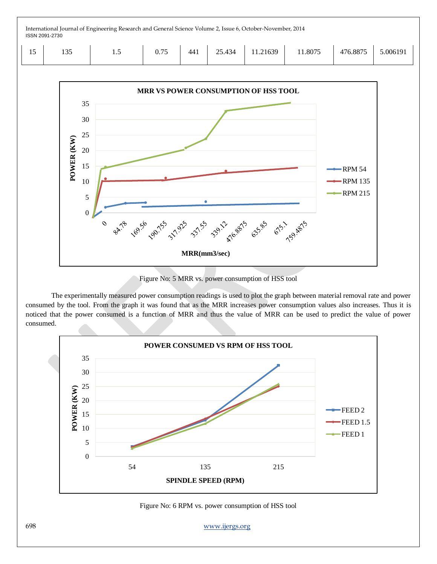| . .<br>$\overline{1}$ | 10 <sub>5</sub><br>$\overline{\phantom{a}}$ | $\cdot$ | $\overline{a}$<br>v. 1 J | 441 | 121<br>$\sim$<br>∠J.⊤J | .21639 | 1.8075<br>. | 4760075<br>0.8873 | 5.006191 |
|-----------------------|---------------------------------------------|---------|--------------------------|-----|------------------------|--------|-------------|-------------------|----------|
|-----------------------|---------------------------------------------|---------|--------------------------|-----|------------------------|--------|-------------|-------------------|----------|



Figure No: 5 MRR vs. power consumption of HSS tool

The experimentally measured power consumption readings is used to plot the graph between material removal rate and power consumed by the tool. From the graph it was found that as the MRR increases power consumption values also increases. Thus it is noticed that the power consumed is a function of MRR and thus the value of MRR can be used to predict the value of power consumed.



Figure No: 6 RPM vs. power consumption of HSS tool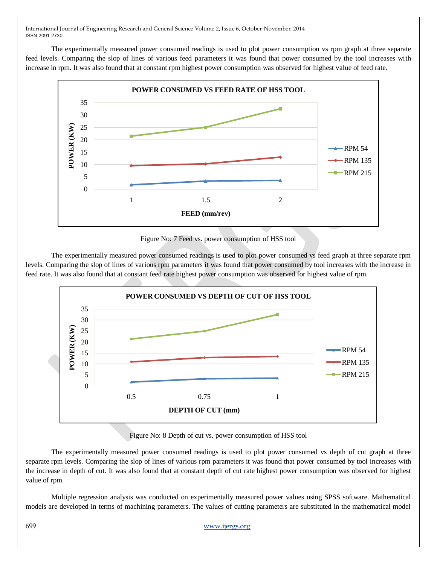The experimentally measured power consumed readings is used to plot power consumption vs rpm graph at three separate feed levels. Comparing the slop of lines of various feed parameters it was found that power consumed by the tool increases with increase in rpm. It was also found that at constant rpm highest power consumption was observed for highest value of feed rate.



Figure No: 7 Feed vs. power consumption of HSS tool

The experimentally measured power consumed readings is used to plot power consumed vs feed graph at three separate rpm levels. Comparing the slop of lines of various rpm parameters it was found that power consumed by tool increases with the increase in feed rate. It was also found that at constant feed rate highest power consumption was observed for highest value of rpm.



Figure No: 8 Depth of cut vs. power consumption of HSS tool

The experimentally measured power consumed readings is used to plot power consumed vs depth of cut graph at three separate rpm levels. Comparing the slop of lines of various rpm parameters it was found that power consumed by tool increases with the increase in depth of cut. It was also found that at constant depth of cut rate highest power consumption was observed for highest value of rpm.

Multiple regression analysis was conducted on experimentally measured power values using SPSS software. Mathematical models are developed in terms of machining parameters. The values of cutting parameters are substituted in the mathematical model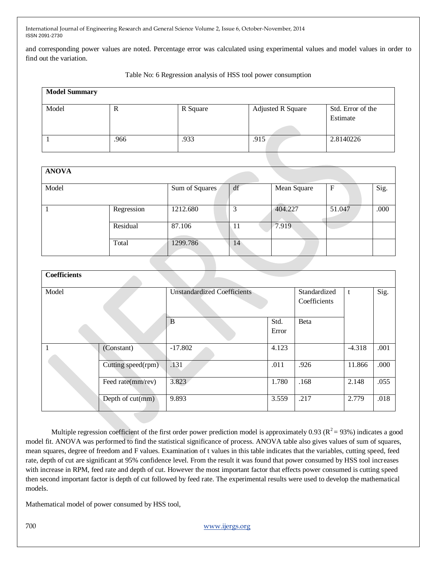and corresponding power values are noted. Percentage error was calculated using experimental values and model values in order to find out the variation.

Table No: 6 Regression analysis of HSS tool power consumption

| <b>Model Summary</b> |      |          |                          |                               |
|----------------------|------|----------|--------------------------|-------------------------------|
| Model                | R    | R Square | <b>Adjusted R Square</b> | Std. Error of the<br>Estimate |
|                      | .966 | .933     | .915                     | 2.8140226                     |

| <b>ANOVA</b> |            |                |    |             |        |      |
|--------------|------------|----------------|----|-------------|--------|------|
| Model        |            | Sum of Squares | df | Mean Square | F      | Sig. |
|              | Regression | 1212.680       | 3  | 404.227     | 51.047 | .000 |
|              | Residual   | 87.106         | 11 | 7.919       |        |      |
|              | Total      | 1299.786       | 14 |             |        |      |

| <b>Coefficients</b> |                    |                                    |               |                              |          |      |
|---------------------|--------------------|------------------------------------|---------------|------------------------------|----------|------|
| Model               |                    | <b>Unstandardized Coefficients</b> |               | Standardized<br>Coefficients | t        | Sig. |
|                     |                    | B                                  | Std.<br>Error | Beta                         |          |      |
|                     | (Constant)         | $-17.802$                          | 4.123         |                              | $-4.318$ | .001 |
|                     | Cutting speed(rpm) | .131                               | .011          | .926                         | 11.866   | .000 |
|                     | Feed rate(mm/rev)  | 3.823                              | 1.780         | .168                         | 2.148    | .055 |
|                     | Depth of cut(mm)   | 9.893                              | 3.559         | .217                         | 2.779    | .018 |

Multiple regression coefficient of the first order power prediction model is approximately 0.93 ( $\mathbb{R}^2$  = 93%) indicates a good model fit. ANOVA was performed to find the statistical significance of process. ANOVA table also gives values of sum of squares, mean squares, degree of freedom and F values. Examination of t values in this table indicates that the variables, cutting speed, feed rate, depth of cut are significant at 95% confidence level. From the result it was found that power consumed by HSS tool increases with increase in RPM, feed rate and depth of cut. However the most important factor that effects power consumed is cutting speed then second important factor is depth of cut followed by feed rate. The experimental results were used to develop the mathematical models.

Mathematical model of power consumed by HSS tool,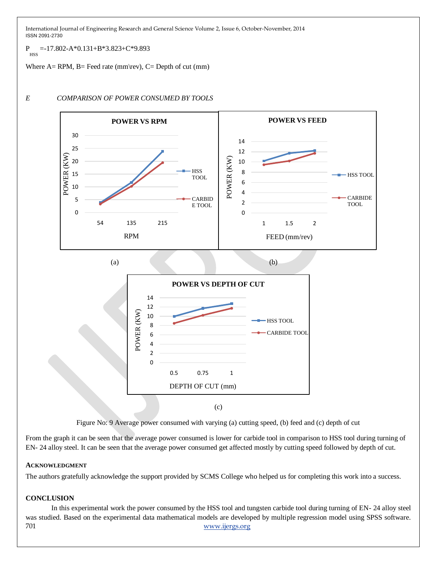$P_{HSS} = -17.802 - A*0.131 + B*3.823 + C*9.893$ 

Where  $A=$  RPM,  $B=$  Feed rate (mm\rev),  $C=$  Depth of cut (mm)



## *E COMPARISON OF POWER CONSUMED BY TOOLS*



From the graph it can be seen that the average power consumed is lower for carbide tool in comparison to HSS tool during turning of EN- 24 alloy steel. It can be seen that the average power consumed get affected mostly by cutting speed followed by depth of cut.

## **ACKNOWLEDGMENT**

The authors gratefully acknowledge the support provided by SCMS College who helped us for completing this work into a success.

## **CONCLUSION**

701 www.ijergs.org In this experimental work the power consumed by the HSS tool and tungsten carbide tool during turning of EN- 24 alloy steel was studied. Based on the experimental data mathematical models are developed by multiple regression model using SPSS software.